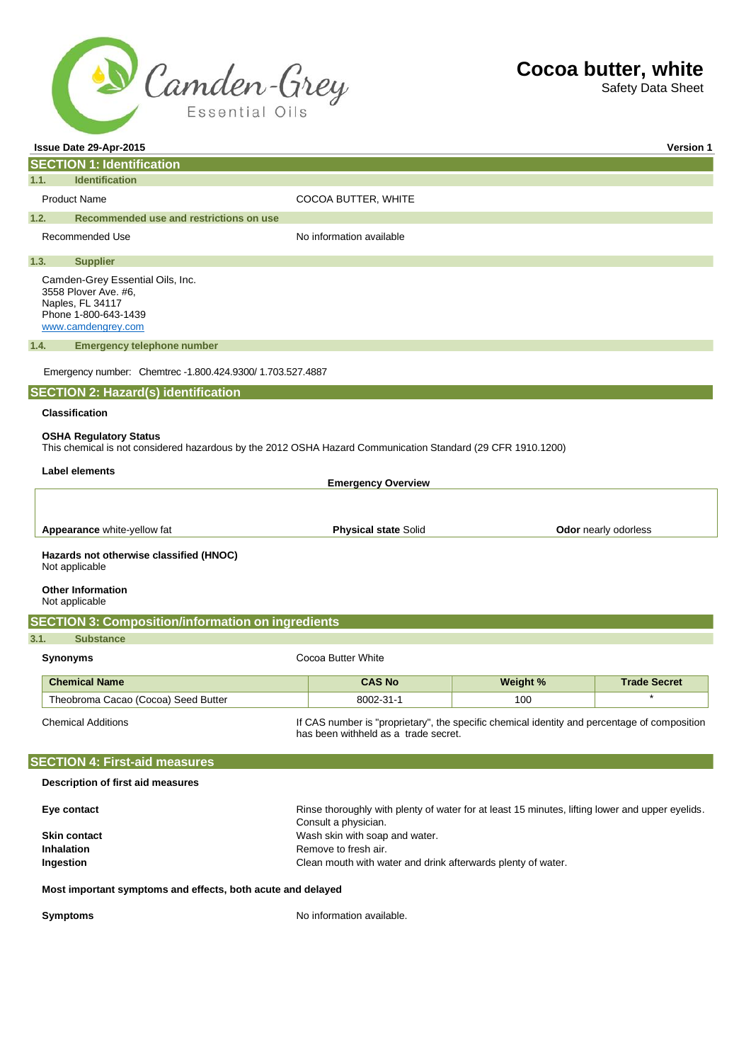

Safety Data Sheet

| Issue Date 29-Apr-2015                                                                                                                                                |                                                                                                                         |                                                                                                                                      |                 | <b>Version 1</b>            |
|-----------------------------------------------------------------------------------------------------------------------------------------------------------------------|-------------------------------------------------------------------------------------------------------------------------|--------------------------------------------------------------------------------------------------------------------------------------|-----------------|-----------------------------|
| <b>SECTION 1: Identification</b>                                                                                                                                      |                                                                                                                         |                                                                                                                                      |                 |                             |
| <b>Identification</b><br>1.1.                                                                                                                                         |                                                                                                                         |                                                                                                                                      |                 |                             |
| <b>Product Name</b>                                                                                                                                                   |                                                                                                                         | COCOA BUTTER, WHITE                                                                                                                  |                 |                             |
| 1.2.<br>Recommended use and restrictions on use                                                                                                                       |                                                                                                                         |                                                                                                                                      |                 |                             |
| Recommended Use                                                                                                                                                       |                                                                                                                         | No information available                                                                                                             |                 |                             |
| 1.3.<br><b>Supplier</b>                                                                                                                                               |                                                                                                                         |                                                                                                                                      |                 |                             |
| Camden-Grey Essential Oils, Inc.<br>3558 Plover Ave. #6,<br>Naples, FL 34117<br>Phone 1-800-643-1439<br>www.camdengrey.com                                            |                                                                                                                         |                                                                                                                                      |                 |                             |
| <b>Emergency telephone number</b><br>1.4.                                                                                                                             |                                                                                                                         |                                                                                                                                      |                 |                             |
| Emergency number: Chemtrec - 1.800.424.9300/ 1.703.527.4887                                                                                                           |                                                                                                                         |                                                                                                                                      |                 |                             |
| <b>SECTION 2: Hazard(s) identification</b>                                                                                                                            |                                                                                                                         |                                                                                                                                      |                 |                             |
| <b>Classification</b>                                                                                                                                                 |                                                                                                                         |                                                                                                                                      |                 |                             |
| <b>OSHA Regulatory Status</b><br>This chemical is not considered hazardous by the 2012 OSHA Hazard Communication Standard (29 CFR 1910.1200)<br><b>Label elements</b> |                                                                                                                         | <b>Emergency Overview</b>                                                                                                            |                 |                             |
|                                                                                                                                                                       |                                                                                                                         |                                                                                                                                      |                 |                             |
| Appearance white-yellow fat                                                                                                                                           |                                                                                                                         | <b>Physical state Solid</b>                                                                                                          |                 | <b>Odor</b> nearly odorless |
| Hazards not otherwise classified (HNOC)<br>Not applicable<br><b>Other Information</b>                                                                                 |                                                                                                                         |                                                                                                                                      |                 |                             |
| Not applicable                                                                                                                                                        |                                                                                                                         |                                                                                                                                      |                 |                             |
| <b>SECTION 3: Composition/information on ingredients</b>                                                                                                              |                                                                                                                         |                                                                                                                                      |                 |                             |
| 3.1.<br><b>Substance</b>                                                                                                                                              |                                                                                                                         |                                                                                                                                      |                 |                             |
| <b>Synonyms</b>                                                                                                                                                       |                                                                                                                         | Cocoa Butter White                                                                                                                   |                 |                             |
| <b>Chemical Name</b>                                                                                                                                                  |                                                                                                                         | <b>CAS No</b>                                                                                                                        | <b>Weight %</b> | <b>Trade Secret</b>         |
| Theobroma Cacao (Cocoa) Seed Butter                                                                                                                                   |                                                                                                                         | 8002-31-1                                                                                                                            | 100             | $\star$                     |
| <b>Chemical Additions</b>                                                                                                                                             |                                                                                                                         | If CAS number is "proprietary", the specific chemical identity and percentage of composition<br>has been withheld as a trade secret. |                 |                             |
| <b>SECTION 4: First-aid measures</b>                                                                                                                                  |                                                                                                                         |                                                                                                                                      |                 |                             |
| Description of first aid measures                                                                                                                                     |                                                                                                                         |                                                                                                                                      |                 |                             |
| Eye contact                                                                                                                                                           | Rinse thoroughly with plenty of water for at least 15 minutes, lifting lower and upper eyelids.<br>Consult a physician. |                                                                                                                                      |                 |                             |
| <b>Skin contact</b>                                                                                                                                                   | Wash skin with soap and water.                                                                                          |                                                                                                                                      |                 |                             |
| <b>Inhalation</b>                                                                                                                                                     | Remove to fresh air.                                                                                                    |                                                                                                                                      |                 |                             |
| Ingestion                                                                                                                                                             | Clean mouth with water and drink afterwards plenty of water.                                                            |                                                                                                                                      |                 |                             |
| Most important symptoms and effects, both acute and delayed                                                                                                           |                                                                                                                         |                                                                                                                                      |                 |                             |
| <b>Symptoms</b>                                                                                                                                                       |                                                                                                                         | No information available.                                                                                                            |                 |                             |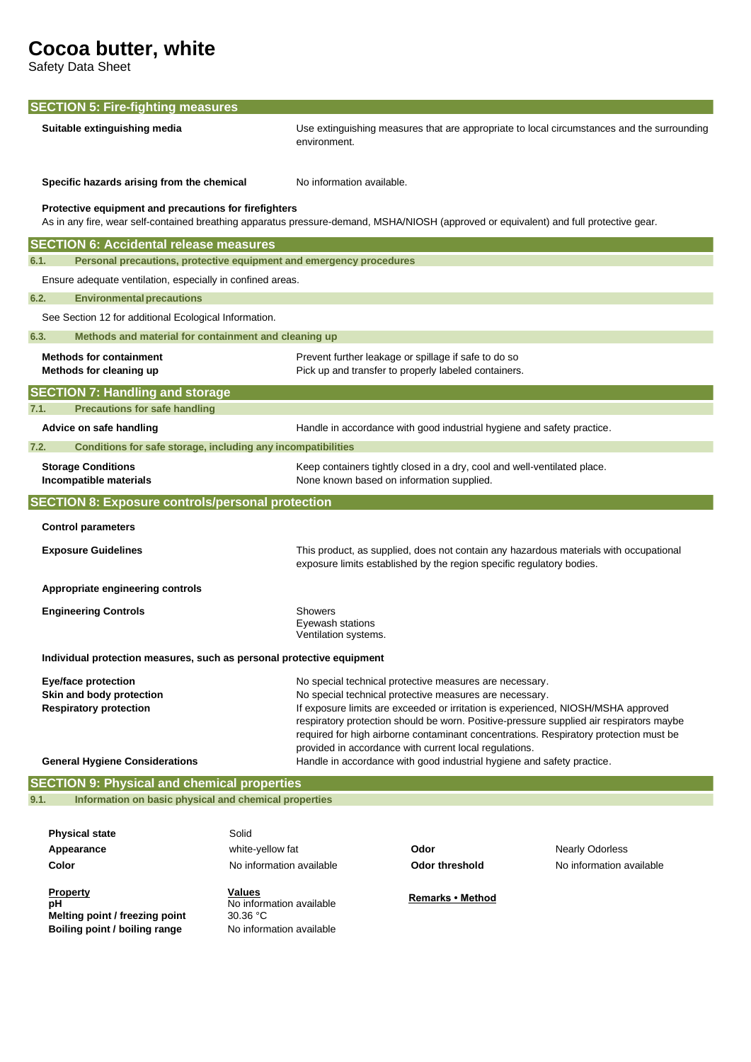Safety Data Sheet

| <b>SECTION 5: Fire-fighting measures</b>                                    |                                                     |                                                                                                                                                                                                                                                                                                                                                                                                                                                       |  |  |
|-----------------------------------------------------------------------------|-----------------------------------------------------|-------------------------------------------------------------------------------------------------------------------------------------------------------------------------------------------------------------------------------------------------------------------------------------------------------------------------------------------------------------------------------------------------------------------------------------------------------|--|--|
| Suitable extinguishing media                                                | environment.                                        | Use extinguishing measures that are appropriate to local circumstances and the surrounding                                                                                                                                                                                                                                                                                                                                                            |  |  |
| Specific hazards arising from the chemical                                  | No information available.                           |                                                                                                                                                                                                                                                                                                                                                                                                                                                       |  |  |
| Protective equipment and precautions for firefighters                       |                                                     | As in any fire, wear self-contained breathing apparatus pressure-demand, MSHA/NIOSH (approved or equivalent) and full protective gear.                                                                                                                                                                                                                                                                                                                |  |  |
| <b>SECTION 6: Accidental release measures</b>                               |                                                     |                                                                                                                                                                                                                                                                                                                                                                                                                                                       |  |  |
| 6.1.<br>Personal precautions, protective equipment and emergency procedures |                                                     |                                                                                                                                                                                                                                                                                                                                                                                                                                                       |  |  |
| Ensure adequate ventilation, especially in confined areas.                  |                                                     |                                                                                                                                                                                                                                                                                                                                                                                                                                                       |  |  |
| 6.2.<br><b>Environmental precautions</b>                                    |                                                     |                                                                                                                                                                                                                                                                                                                                                                                                                                                       |  |  |
| See Section 12 for additional Ecological Information.                       |                                                     |                                                                                                                                                                                                                                                                                                                                                                                                                                                       |  |  |
| 6.3.<br>Methods and material for containment and cleaning up                |                                                     |                                                                                                                                                                                                                                                                                                                                                                                                                                                       |  |  |
| <b>Methods for containment</b><br>Methods for cleaning up                   |                                                     | Prevent further leakage or spillage if safe to do so<br>Pick up and transfer to properly labeled containers.                                                                                                                                                                                                                                                                                                                                          |  |  |
| <b>SECTION 7: Handling and storage</b>                                      |                                                     |                                                                                                                                                                                                                                                                                                                                                                                                                                                       |  |  |
| 7.1.<br><b>Precautions for safe handling</b>                                |                                                     |                                                                                                                                                                                                                                                                                                                                                                                                                                                       |  |  |
| Advice on safe handling                                                     |                                                     | Handle in accordance with good industrial hygiene and safety practice.                                                                                                                                                                                                                                                                                                                                                                                |  |  |
| Conditions for safe storage, including any incompatibilities<br>7.2.        |                                                     |                                                                                                                                                                                                                                                                                                                                                                                                                                                       |  |  |
| <b>Storage Conditions</b><br>Incompatible materials                         |                                                     | Keep containers tightly closed in a dry, cool and well-ventilated place.<br>None known based on information supplied.                                                                                                                                                                                                                                                                                                                                 |  |  |
| <b>SECTION 8: Exposure controls/personal protection</b>                     |                                                     |                                                                                                                                                                                                                                                                                                                                                                                                                                                       |  |  |
| <b>Control parameters</b>                                                   |                                                     |                                                                                                                                                                                                                                                                                                                                                                                                                                                       |  |  |
| <b>Exposure Guidelines</b>                                                  |                                                     | This product, as supplied, does not contain any hazardous materials with occupational<br>exposure limits established by the region specific regulatory bodies.                                                                                                                                                                                                                                                                                        |  |  |
| Appropriate engineering controls                                            |                                                     |                                                                                                                                                                                                                                                                                                                                                                                                                                                       |  |  |
| <b>Engineering Controls</b>                                                 | Showers<br>Eyewash stations<br>Ventilation systems. |                                                                                                                                                                                                                                                                                                                                                                                                                                                       |  |  |
| Individual protection measures, such as personal protective equipment       |                                                     |                                                                                                                                                                                                                                                                                                                                                                                                                                                       |  |  |
| <b>Eye/face protection</b><br>Skin and body protection                      |                                                     | No special technical protective measures are necessary.<br>No special technical protective measures are necessary.<br>If exposure limits are exceeded or irritation is experienced, NIOSH/MSHA approved<br>respiratory protection should be worn. Positive-pressure supplied air respirators maybe<br>required for high airborne contaminant concentrations. Respiratory protection must be<br>provided in accordance with current local regulations. |  |  |
| <b>Respiratory protection</b>                                               |                                                     |                                                                                                                                                                                                                                                                                                                                                                                                                                                       |  |  |
| <b>General Hygiene Considerations</b>                                       |                                                     | Handle in accordance with good industrial hygiene and safety practice.                                                                                                                                                                                                                                                                                                                                                                                |  |  |
| <b>SECTION 9: Physical and chemical properties</b>                          |                                                     |                                                                                                                                                                                                                                                                                                                                                                                                                                                       |  |  |
| Information on basic physical and chemical properties<br>9.1.               |                                                     |                                                                                                                                                                                                                                                                                                                                                                                                                                                       |  |  |
|                                                                             |                                                     |                                                                                                                                                                                                                                                                                                                                                                                                                                                       |  |  |
| <b>Physical state</b><br>Appearance                                         | Solid<br>white-yellow fat                           | <b>Nearly Odorless</b><br>Odor                                                                                                                                                                                                                                                                                                                                                                                                                        |  |  |

**Property pH Melting point / freezing point 30.36 °C Boiling point / boiling range** No information available

**Values**  No information available **Remarks • Method**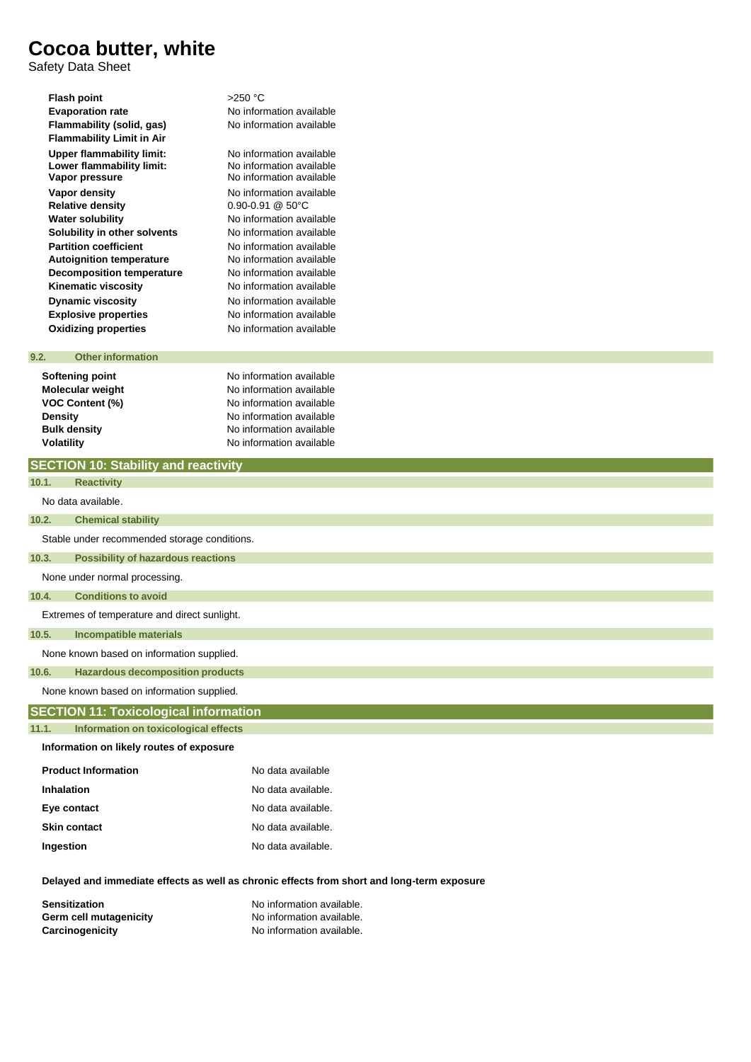Safety Data Sheet

| Flash point                      | $>250$ °C    |
|----------------------------------|--------------|
| <b>Evaporation rate</b>          | No inforr    |
| Flammability (solid, gas)        | No inforr    |
| <b>Flammability Limit in Air</b> |              |
| <b>Upper flammability limit:</b> | No inforr    |
| Lower flammability limit:        | No inforr    |
| Vapor pressure                   | No inforr    |
| Vapor density                    | No inforr    |
| <b>Relative density</b>          | $0.90 - 0.9$ |
| <b>Water solubility</b>          | No inforr    |
| Solubility in other solvents     | No inforr    |
| <b>Partition coefficient</b>     | No inforr    |
| <b>Autoignition temperature</b>  | No inforr    |
| <b>Decomposition temperature</b> | No inforr    |
| Kinematic viscosity              | No inforr    |
| <b>Dynamic viscosity</b>         | No inforr    |
| <b>Explosive properties</b>      | No inforr    |
| <b>Oxidizing properties</b>      | No inforr    |
|                                  |              |

**No information available Flammability (solid, gas)** No information available

No information available No information available No information available **No information available Relative density** 0.90-0.91 @ 50°C **No information available No information available No information available Autoignition temperature** No information available **Pe Decomber** No information available **No information available No information available Explosive properties** No information available **Oxidizing properties** No information available

### **9.2. Otherinformation**

**Softening point No information available Volatility Volatility Volatility No information available** 

**Molecular weight No information available VOC Content (%)** No information available **Density Density Density No** information available **Bulk density No** information available **No information available** 

|                                          | <b>SECTION 10: Stability and reactivity</b>  |                    |  |  |
|------------------------------------------|----------------------------------------------|--------------------|--|--|
| 10.1.                                    | <b>Reactivity</b>                            |                    |  |  |
|                                          | No data available.                           |                    |  |  |
| 10.2.                                    | <b>Chemical stability</b>                    |                    |  |  |
|                                          | Stable under recommended storage conditions. |                    |  |  |
| 10.3.                                    | <b>Possibility of hazardous reactions</b>    |                    |  |  |
|                                          | None under normal processing.                |                    |  |  |
| 10.4.                                    | <b>Conditions to avoid</b>                   |                    |  |  |
|                                          | Extremes of temperature and direct sunlight. |                    |  |  |
| 10.5.                                    | <b>Incompatible materials</b>                |                    |  |  |
|                                          | None known based on information supplied.    |                    |  |  |
| 10.6.                                    | <b>Hazardous decomposition products</b>      |                    |  |  |
|                                          | None known based on information supplied.    |                    |  |  |
|                                          | <b>SECTION 11: Toxicological information</b> |                    |  |  |
| 11.1.                                    | Information on toxicological effects         |                    |  |  |
| Information on likely routes of exposure |                                              |                    |  |  |
|                                          | <b>Product Information</b>                   | No data available  |  |  |
|                                          | <b>Inhalation</b>                            | No data available. |  |  |
| Eye contact                              |                                              | No data available. |  |  |
| <b>Skin contact</b>                      |                                              | No data available. |  |  |

**Ingestion No data available.** 

**Delayed and immediate effects as well as chronic effects from short and long-term exposure** 

| <b>Sensitization</b>   | No information available. |
|------------------------|---------------------------|
| Germ cell mutagenicity | No information available. |
| Carcinogenicity        | No information available. |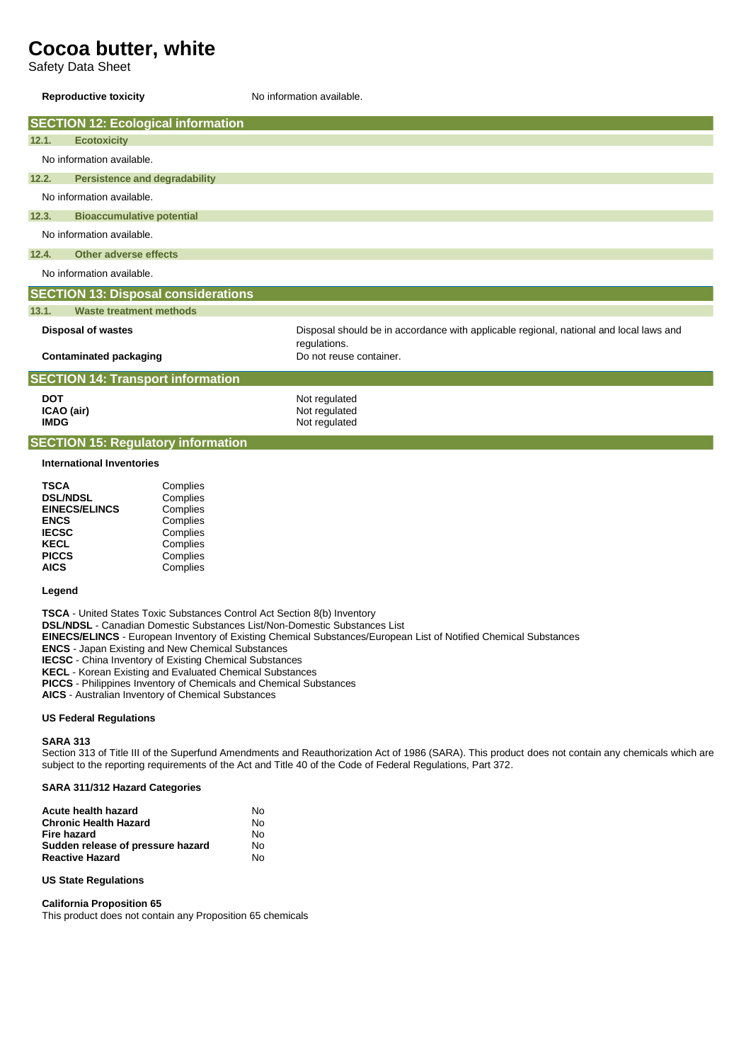Safety Data Sheet

### **Reproductive toxicity No information available.**

|                                           | <b>SECTION 12: Ecological information</b> |                                            |                                                                                                        |
|-------------------------------------------|-------------------------------------------|--------------------------------------------|--------------------------------------------------------------------------------------------------------|
| 12.1.                                     | <b>Ecotoxicity</b>                        |                                            |                                                                                                        |
|                                           | No information available.                 |                                            |                                                                                                        |
| 12.2.                                     | <b>Persistence and degradability</b>      |                                            |                                                                                                        |
|                                           | No information available.                 |                                            |                                                                                                        |
| 12.3.<br><b>Bioaccumulative potential</b> |                                           |                                            |                                                                                                        |
|                                           | No information available.                 |                                            |                                                                                                        |
| 12.4.<br>Other adverse effects            |                                           |                                            |                                                                                                        |
|                                           | No information available.                 |                                            |                                                                                                        |
|                                           |                                           | <b>SECTION 13: Disposal considerations</b> |                                                                                                        |
| 13.1.                                     | <b>Waste treatment methods</b>            |                                            |                                                                                                        |
|                                           | <b>Disposal of wastes</b>                 |                                            | Disposal should be in accordance with applicable regional, national and local laws and<br>regulations. |
| <b>Contaminated packaging</b>             |                                           |                                            | Do not reuse container.                                                                                |
|                                           | <b>SECTION 14: Transport information</b>  |                                            |                                                                                                        |
| <b>DOT</b>                                |                                           |                                            | Not regulated                                                                                          |
| ICAO (air)<br><b>IMDG</b>                 |                                           |                                            | Not regulated                                                                                          |
|                                           |                                           |                                            | Not regulated                                                                                          |
| <b>SECTION 15: Regulatory information</b> |                                           |                                            |                                                                                                        |
| <b>International Inventories</b>          |                                           |                                            |                                                                                                        |
| <b>TSCA</b>                               | <b>DSL/NDSL</b>                           | Complies<br>Complies                       |                                                                                                        |

| השטו                 | <b>COLLINICS</b> |
|----------------------|------------------|
| <b>DSL/NDSL</b>      | Complies         |
| <b>EINECS/ELINCS</b> | Complies         |
| <b>ENCS</b>          | Complies         |
| <b>IECSC</b>         | Complies         |
| <b>KECL</b>          | Complies         |
| <b>PICCS</b>         | Complies         |
| <b>AICS</b>          | Complies         |
|                      |                  |

#### **Legend**

**TSCA** - United States Toxic Substances Control Act Section 8(b) Inventory **DSL/NDSL** - Canadian Domestic Substances List/Non-Domestic Substances List **EINECS/ELINCS** - European Inventory of Existing Chemical Substances/European List of Notified Chemical Substances **ENCS** - Japan Existing and New Chemical Substances **IECSC** - China Inventory of Existing Chemical Substances **KECL** - Korean Existing and Evaluated Chemical Substances **PICCS** - Philippines Inventory of Chemicals and Chemical Substances **AICS** - Australian Inventory of Chemical Substances

#### **US Federal Regulations**

#### **SARA 313**

Section 313 of Title III of the Superfund Amendments and Reauthorization Act of 1986 (SARA). This product does not contain any chemicals which are subject to the reporting requirements of the Act and Title 40 of the Code of Federal Regulations, Part 372.

#### **SARA 311/312 Hazard Categories**

| Acute health hazard               | N٥ |
|-----------------------------------|----|
| <b>Chronic Health Hazard</b>      | N٥ |
| Fire hazard                       | N٥ |
| Sudden release of pressure hazard | N٥ |
| <b>Reactive Hazard</b>            | N٥ |

#### **US State Regulations**

#### **California Proposition 65**

This product does not contain any Proposition 65 chemicals